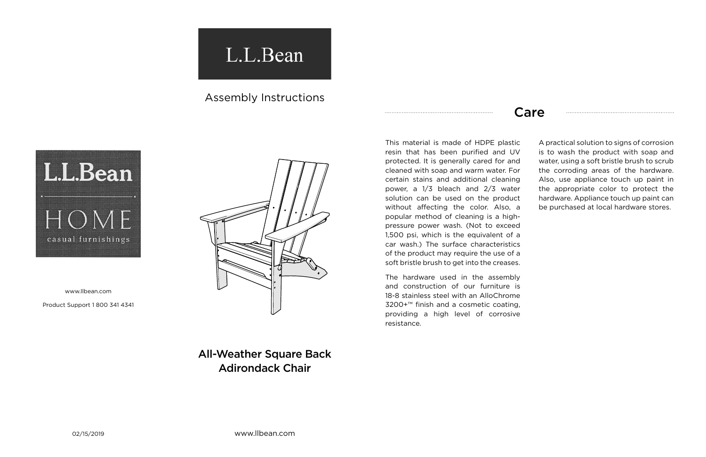02/15/2019 www.llbean.com

## L.L.Bean

## Assembly Instructions



www.llbean.com

Product Support 1 800 341 4341



## Care

All-Weather Square Back Adirondack Chair

This material is made of HDPE plastic resin that has been purified and UV protected. It is generally cared for and cleaned with soap and warm water. For certain stains and additional cleaning power, a 1/3 bleach and 2/3 water solution can be used on the product without affecting the color. Also, a popular method of cleaning is a highpressure power wash. (Not to exceed 1,500 psi, which is the equivalent of a car wash.) The surface characteristics of the product may require the use of a soft bristle brush to get into the creases.

The hardware used in the assembly and construction of our furniture is 18-8 stainless steel with an AlloChrome 3200+™ finish and a cosmetic coating, providing a high level of corrosive resistance.

A practical solution to signs of corrosion is to wash the product with soap and water, using a soft bristle brush to scrub the corroding areas of the hardware. Also, use appliance touch up paint in the appropriate color to protect the hardware. Appliance touch up paint can be purchased at local hardware stores.